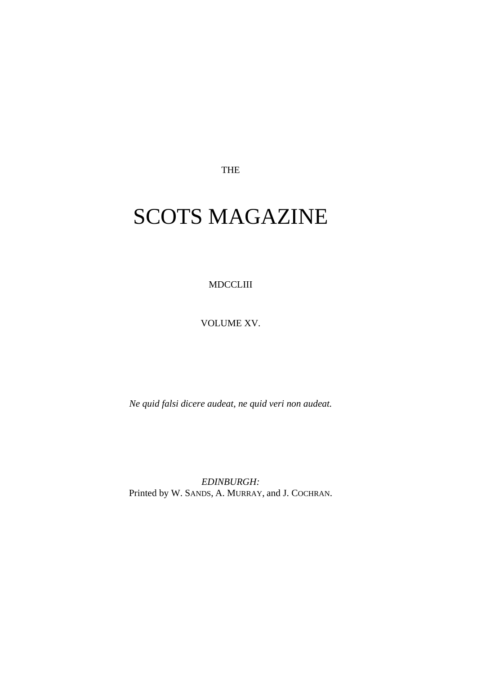THE

## SCOTS MAGAZINE

MDCCLIII

VOLUME XV.

*Ne quid falsi dicere audeat, ne quid veri non audeat.*

*EDINBURGH:* Printed by W. SANDS, A. MURRAY, and J. COCHRAN.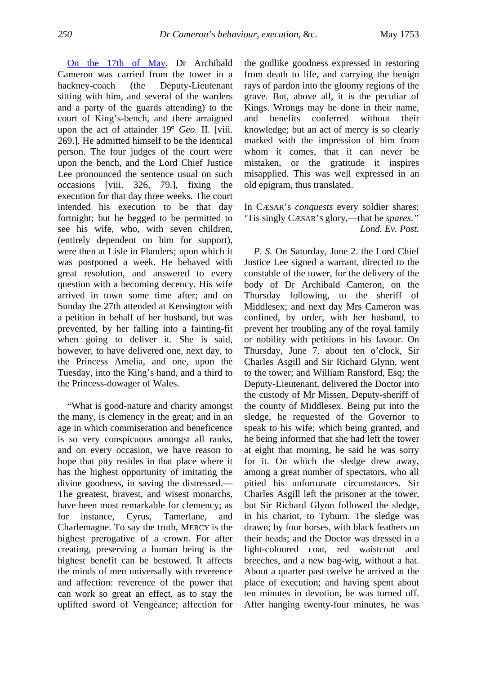[On the 17th of May,](http://books.google.com/books?id=p2AAAAAAYAAJ&pg=PA250#v=onepage&q&f=false) Dr Archibald Cameron was carried from the tower in a hackney-coach (the Deputy-Lieutenant sitting with him, and several of the warders and a party of the guards attending) to the court of King's-bench, and there arraigned upon the act of attainder 19° *Geo.* II. [viii. 269.]. He admitted himself to be the identical person. The four judges of the court were upon the bench, and the Lord Chief Justice Lee pronounced the sentence usual on such occasions [viii. 326, 79.], fixing the execution for that day three weeks. The court intended his execution to be that day fortnight; but he begged to be permitted to see his wife, who, with seven children, (entirely dependent on him for support), were then at Lisle in Flanders; upon which it was postponed a week. He behaved with great resolution, and answered to every question with a becoming decency. His wife arrived in town some time after; and on Sunday the 27th attended at Kensington with a petition in behalf of her husband, but was prevented, by her falling into a fainting-fit when going to deliver it. She is said, however, to have delivered one, next day, to the Princess Amelia, and one, upon the Tuesday, into the King's hand, and a third to the Princess-dowager of Wales.

"What is good-nature and charity amongst the many, is clemency in the great; and in an age in which commiseration and beneficence is so very conspicuous amongst all ranks, and on every occasion, we have reason to hope that pity resides in that place where it has the highest opportunity of imitating the divine goodness, in saving the distressed.— The greatest, bravest, and wisest monarchs, have been most remarkable for clemency; as for instance, Cyrus, Tamerlane, and Charlemagne. To say the truth, MERCY is the highest prerogative of a crown. For after creating, preserving a human being is the highest benefit can be bestowed. It affects the minds of men universally with reverence and affection: reverence of the power that can work so great an effect, as to stay the uplifted sword of Vengeance; affection for

the godlike goodness expressed in restoring from death to life, and carrying the benign rays of pardon into the gloomy regions of the grave. But, above all, it is the peculiar of Kings. Wrongs may be done in their name, and benefits conferred without their knowledge; but an act of mercy is so clearly marked with the impression of him from whom it comes, that it can never be mistaken, or the gratitude it inspires misapplied. This was well expressed in an old epigram, thus translated.

In CÆSAR's *conquests* every soldier shares: 'Tis singly CÆSAR'S glory,—that he *spares." Lond. Ev. Post.*

*P. S.* On Saturday, June 2. the Lord Chief Justice Lee signed a warrant, directed to the constable of the tower, for the delivery of the body of Dr Archibald Cameron, on the Thursday following, to the sheriff of Middlesex; and next day Mrs Cameron was confined, by order, with her husband, to prevent her troubling any of the royal family or nobility with petitions in his favour. On Thursday, June 7. about ten o'clock, Sir Charles Asgill and Sir Richard Glynn, went to the tower; and William Ransford, Esq; the Deputy-Lieutenant, delivered the Doctor into the custody of Mr Missen, Deputy-sheriff of the county of Middlesex. Being put into the sledge, he requested of the Governor to speak to his wife; which being granted, and he being informed that she had left the tower at eight that morning, he said he was sorry for it. On which the sledge drew away, among a great number of spectators, who all pitied his unfortunate circumstances. Sir Charles Asgill left the prisoner at the tower, but Sir Richard Glynn followed the sledge, in his chariot, to Tyburn. The sledge was drawn; by four horses, with black feathers on their heads; and the Doctor was dressed in a light-coloured coat, red waistcoat and breeches, and a new bag-wig, without a hat. About a quarter past twelve he arrived at the place of execution; and having spent about ten minutes in devotion, he was turned off. After hanging twenty-four minutes, he was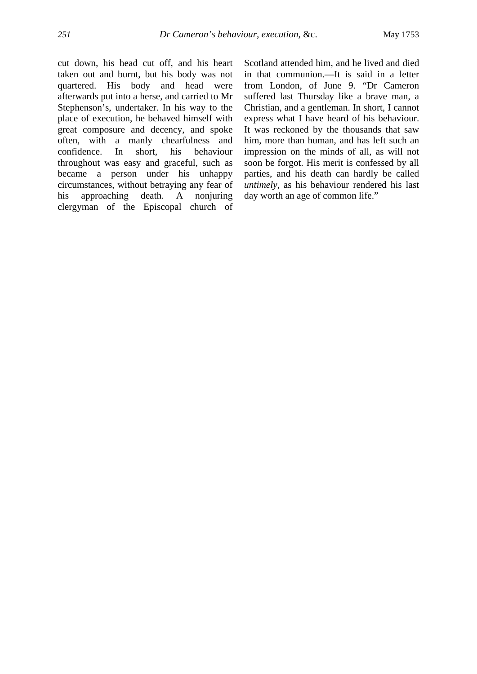cut down, his head cut off, and his heart taken out and burnt, but his body was not quartered. His body and head were afterwards put into a herse, and carried to Mr Stephenson's, undertaker. In his way to the place of execution, he behaved himself with great composure and decency, and spoke often, with a manly chearfulness and confidence. In short, his behaviour throughout was easy and graceful, such as became a person under his unhappy circumstances, without betraying any fear of his approaching death. A nonjuring clergyman of the Episcopal church of Scotland attended him, and he lived and died in that communion.—It is said in a letter from London, of June 9. "Dr Cameron suffered last Thursday like a brave man, a Christian, and a gentleman. In short, I cannot express what I have heard of his behaviour. It was reckoned by the thousands that saw him, more than human, and has left such an impression on the minds of all, as will not soon be forgot. His merit is confessed by all parties, and his death can hardly be called *untimely,* as his behaviour rendered his last day worth an age of common life."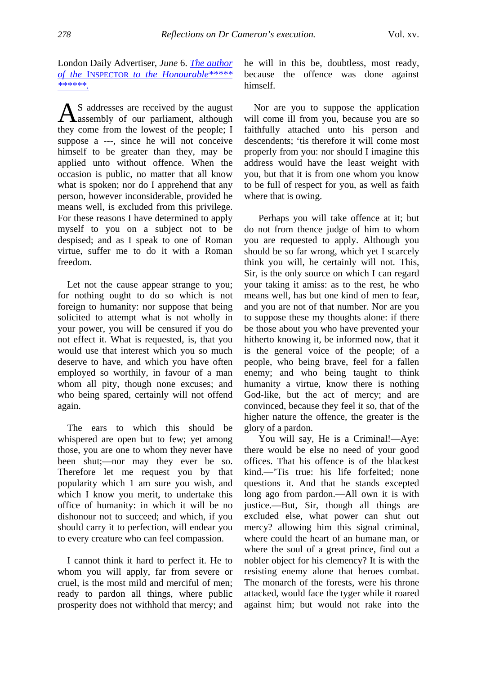London Daily Advertiser, *June* 6. *[The author](http://books.google.com/books?id=p2AAAAAAYAAJ&pg=PA278#v=onepage&q&f=false)  of the* INSPECTOR *[to the Honourable\\*\\*\\*\\*\\*](http://books.google.com/books?id=p2AAAAAAYAAJ&pg=PA278#v=onepage&q&f=false)  [\\*\\*\\*\\*\\*\\*.](http://books.google.com/books?id=p2AAAAAAYAAJ&pg=PA278#v=onepage&q&f=false)*

S addresses are received by the august  $\mathbf{A}$ S addresses are received by the august<br>assembly of our parliament, although they come from the lowest of the people; I suppose a ---, since he will not conceive himself to be greater than they, may be applied unto without offence. When the occasion is public, no matter that all know what is spoken; nor do I apprehend that any person, however inconsiderable, provided he means well, is excluded from this privilege. For these reasons I have determined to apply myself to you on a subject not to be despised; and as I speak to one of Roman virtue, suffer me to do it with a Roman freedom.

Let not the cause appear strange to you; for nothing ought to do so which is not foreign to humanity: nor suppose that being solicited to attempt what is not wholly in your power, you will be censured if you do not effect it. What is requested, is, that you would use that interest which you so much deserve to have, and which you have often employed so worthily, in favour of a man whom all pity, though none excuses; and who being spared, certainly will not offend again.

The ears to which this should be whispered are open but to few; yet among those, you are one to whom they never have been shut;—nor may they ever be so. Therefore let me request you by that popularity which 1 am sure you wish, and which I know you merit, to undertake this office of humanity: in which it will be no dishonour not to succeed; and which, if you should carry it to perfection, will endear you to every creature who can feel compassion.

I cannot think it hard to perfect it. He to whom you will apply, far from severe or cruel, is the most mild and merciful of men; ready to pardon all things, where public prosperity does not withhold that mercy; and he will in this be, doubtless, most ready, because the offence was done against himself.

Nor are you to suppose the application will come ill from you, because you are so faithfully attached unto his person and descendents; 'tis therefore it will come most properly from you: nor should I imagine this address would have the least weight with you, but that it is from one whom you know to be full of respect for you, as well as faith where that is owing.

Perhaps you will take offence at it; but do not from thence judge of him to whom you are requested to apply. Although you should be so far wrong, which yet I scarcely think you will, he certainly will not. This, Sir, is the only source on which I can regard your taking it amiss: as to the rest, he who means well, has but one kind of men to fear, and you are not of that number. Nor are you to suppose these my thoughts alone: if there be those about you who have prevented your hitherto knowing it, be informed now, that it is the general voice of the people; of a people, who being brave, feel for a fallen enemy; and who being taught to think humanity a virtue, know there is nothing God-like, but the act of mercy; and are convinced, because they feel it so, that of the higher nature the offence, the greater is the glory of a pardon.

You will say, He is a Criminal!—Aye: there would be else no need of your good offices. That his offence is of the blackest kind.—'Tis true: his life forfeited; none questions it. And that he stands excepted long ago from pardon.—All own it is with justice.—But, Sir, though all things are excluded else, what power can shut out mercy? allowing him this signal criminal, where could the heart of an humane man, or where the soul of a great prince, find out a nobler object for his clemency? It is with the resisting enemy alone that heroes combat. The monarch of the forests, were his throne attacked, would face the tyger while it roared against him; but would not rake into the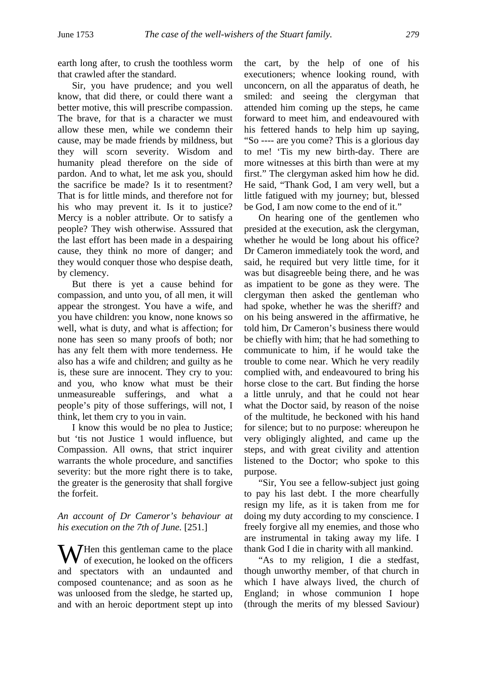earth long after, to crush the toothless worm that crawled after the standard.

Sir, you have prudence; and you well know, that did there, or could there want a better motive, this will prescribe compassion. The brave, for that is a character we must allow these men, while we condemn their cause, may be made friends by mildness, but they will scorn severity. Wisdom and humanity plead therefore on the side of pardon. And to what, let me ask you, should the sacrifice be made? Is it to resentment? That is for little minds, and therefore not for his who may prevent it. Is it to justice? Mercy is a nobler attribute. Or to satisfy a people? They wish otherwise. Asssured that the last effort has been made in a despairing cause, they think no more of danger; and they would conquer those who despise death, by clemency.

But there is yet a cause behind for compassion, and unto you, of all men, it will appear the strongest. You have a wife, and you have children: you know, none knows so well, what is duty, and what is affection; for none has seen so many proofs of both; nor has any felt them with more tenderness. He also has a wife and children; and guilty as he is, these sure are innocent. They cry to you: and you, who know what must be their unmeasureable sufferings, and what a people's pity of those sufferings, will not, I think, let them cry to you in vain.

I know this would be no plea to Justice; but 'tis not Justice 1 would influence, but Compassion. All owns, that strict inquirer warrants the whole procedure, and sanctifies severity: but the more right there is to take, the greater is the generosity that shall forgive the forfeit.

## *An account of Dr Cameror's behaviour at his execution on the 7th of June.* [251.]

W Hen this gentleman came to the place<br>of execution, he looked on the officers of execution, he looked on the officers and spectators with an undaunted and composed countenance; and as soon as he was unloosed from the sledge, he started up, and with an heroic deportment stept up into

the cart, by the help of one of his executioners; whence looking round, with unconcern, on all the apparatus of death, he smiled: and seeing the clergyman that attended him coming up the steps, he came forward to meet him, and endeavoured with his fettered hands to help him up saying, "So ---- are you come? This is a glorious day to me! 'Tis my new birth-day. There are more witnesses at this birth than were at my first." The clergyman asked him how he did. He said, "Thank God, I am very well, but a little fatigued with my journey; but, blessed be God, I am now come to the end of it."

On hearing one of the gentlemen who presided at the execution, ask the clergyman, whether he would be long about his office? Dr Cameron immediately took the word, and said, he required but very little time, for it was but disagreeble being there, and he was as impatient to be gone as they were. The clergyman then asked the gentleman who had spoke, whether he was the sheriff? and on his being answered in the affirmative, he told him, Dr Cameron's business there would be chiefly with him; that he had something to communicate to him, if he would take the trouble to come near. Which he very readily complied with, and endeavoured to bring his horse close to the cart. But finding the horse a little unruly, and that he could not hear what the Doctor said, by reason of the noise of the multitude, he beckoned with his hand for silence; but to no purpose: whereupon he very obligingly alighted, and came up the steps, and with great civility and attention listened to the Doctor; who spoke to this purpose.

"Sir, You see a fellow-subject just going to pay his last debt. I the more chearfully resign my life, as it is taken from me for doing my duty according to my conscience. I freely forgive all my enemies, and those who are instrumental in taking away my life. I thank God I die in charity with all mankind.

"As to my religion, I die a stedfast, though unworthy member, of that church in which I have always lived, the church of England; in whose communion I hope (through the merits of my blessed Saviour)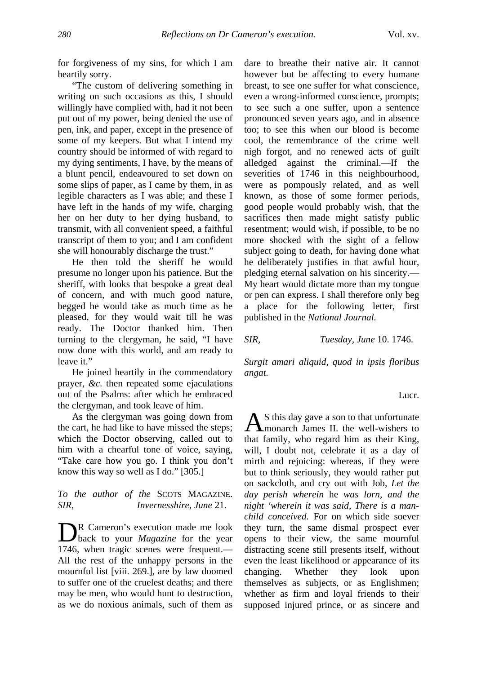for forgiveness of my sins, for which I am heartily sorry.

"The custom of delivering something in writing on such occasions as this, I should willingly have complied with, had it not been put out of my power, being denied the use of pen, ink, and paper, except in the presence of some of my keepers. But what I intend my country should be informed of with regard to my dying sentiments, I have, by the means of a blunt pencil, endeavoured to set down on some slips of paper, as I came by them, in as legible characters as I was able; and these I have left in the hands of my wife, charging her on her duty to her dying husband, to transmit, with all convenient speed, a faithful transcript of them to you; and I am confident she will honourably discharge the trust."

He then told the sheriff he would presume no longer upon his patience. But the sheriff, with looks that bespoke a great deal of concern, and with much good nature, begged he would take as much time as he pleased, for they would wait till he was ready. The Doctor thanked him. Then turning to the clergyman, he said, "I have now done with this world, and am ready to leave it."

He joined heartily in the commendatory prayer, *&c.* then repeated some ejaculations out of the Psalms: after which he embraced the clergyman, and took leave of him.

As the clergyman was going down from the cart, he had like to have missed the steps; which the Doctor observing, called out to him with a chearful tone of voice, saying, "Take care how you go. I think you don't know this way so well as I do." [305.]

## *To the author of the* SCOTS MAGAZINE. *SIR, Invernesshire, June* 21.

R Cameron's execution made me look back to your *Magazine* for the year 1746, when tragic scenes were frequent.— All the rest of the unhappy persons in the mournful list [viii. 269.], are by law doomed to suffer one of the cruelest deaths; and there may be men, who would hunt to destruction, as we do noxious animals, such of them as  $\prod_{1746}$ 

dare to breathe their native air. It cannot however but be affecting to every humane breast, to see one suffer for what conscience, even a wrong-informed conscience, prompts; to see such a one suffer, upon a sentence pronounced seven years ago, and in absence too; to see this when our blood is become cool, the remembrance of the crime well nigh forgot, and no renewed acts of guilt alledged against the criminal.—If the severities of 1746 in this neighbourhood, were as pompously related, and as well known, as those of some former periods, good people would probably wish, that the sacrifices then made might satisfy public resentment; would wish, if possible, to be no more shocked with the sight of a fellow subject going to death, for having done what he deliberately justifies in that awful hour, pledging eternal salvation on his sincerity.— My heart would dictate more than my tongue or pen can express. I shall therefore only beg a place for the following letter, first published in the *National Journal.*

*SIR, Tuesday, June* 10. 1746.

*Surgit amari aliquid, quod in ipsis floribus angat.*

Lucr.

S this day gave a son to that unfortunate  $\mathbf{A}$ S this day gave a son to that unfortunate<br>
In the well-wishers to that family, who regard him as their King, will, I doubt not, celebrate it as a day of mirth and rejoicing: whereas, if they were but to think seriously, they would rather put on sackcloth, and cry out with Job, *Let the day perish wherein* he *was lorn, and the night 'wherein it was said, There is a manchild conceived.* For on which side soever they turn, the same dismal prospect ever opens to their view, the same mournful distracting scene still presents itself, without even the least likelihood or appearance of its changing. Whether they look upon themselves as subjects, or as Englishmen; whether as firm and loyal friends to their supposed injured prince, or as sincere and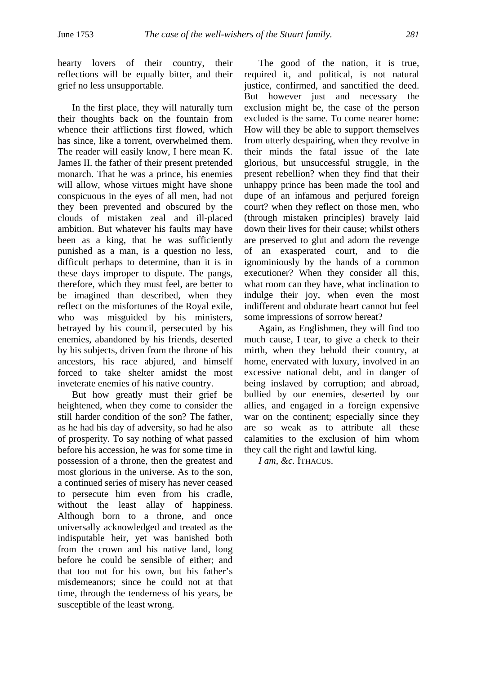hearty lovers of their country, their reflections will be equally bitter, and their grief no less unsupportable.

In the first place, they will naturally turn their thoughts back on the fountain from whence their afflictions first flowed, which has since, like a torrent, overwhelmed them. The reader will easily know, I here mean K. James II. the father of their present pretended monarch. That he was a prince, his enemies will allow, whose virtues might have shone conspicuous in the eyes of all men, had not they been prevented and obscured by the clouds of mistaken zeal and ill-placed ambition. But whatever his faults may have been as a king, that he was sufficiently punished as a man, is a question no less, difficult perhaps to determine, than it is in these days improper to dispute. The pangs, therefore, which they must feel, are better to be imagined than described, when they reflect on the misfortunes of the Royal exile, who was misguided by his ministers, betrayed by his council, persecuted by his enemies, abandoned by his friends, deserted by his subjects, driven from the throne of his ancestors, his race abjured, and himself forced to take shelter amidst the most inveterate enemies of his native country.

But how greatly must their grief be heightened, when they come to consider the still harder condition of the son? The father, as he had his day of adversity, so had he also of prosperity. To say nothing of what passed before his accession, he was for some time in possession of a throne, then the greatest and most glorious in the universe. As to the son, a continued series of misery has never ceased to persecute him even from his cradle, without the least allay of happiness. Although born to a throne, and once universally acknowledged and treated as the indisputable heir, yet was banished both from the crown and his native land, long before he could be sensible of either; and that too not for his own, but his father's misdemeanors; since he could not at that time, through the tenderness of his years, be susceptible of the least wrong.

The good of the nation, it is true, required it, and political, is not natural justice, confirmed, and sanctified the deed. But however just and necessary the exclusion might be, the case of the person excluded is the same. To come nearer home: How will they be able to support themselves from utterly despairing, when they revolve in their minds the fatal issue of the late glorious, but unsuccessful struggle, in the present rebellion? when they find that their unhappy prince has been made the tool and dupe of an infamous and perjured foreign court? when they reflect on those men, who (through mistaken principles) bravely laid down their lives for their cause; whilst others are preserved to glut and adorn the revenge of an exasperated court, and to die ignominiously by the hands of a common executioner? When they consider all this, what room can they have, what inclination to indulge their joy, when even the most indifferent and obdurate heart cannot but feel some impressions of sorrow hereat?

Again, as Englishmen, they will find too much cause, I tear, to give a check to their mirth, when they behold their country, at home, enervated with luxury, involved in an excessive national debt, and in danger of being inslaved by corruption; and abroad, bullied by our enemies, deserted by our allies, and engaged in a foreign expensive war on the continent; especially since they are so weak as to attribute all these calamities to the exclusion of him whom they call the right and lawful king.

*I am, &c.* ITHACUS.